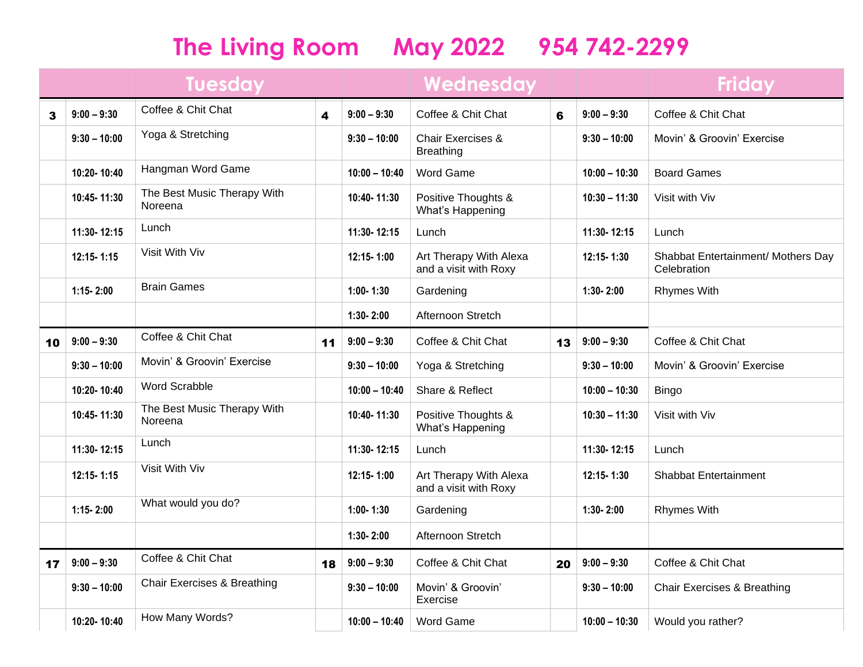## **The Living Room May 2022 954 742-2299**

|    |                | <b>Tuesday</b>                         |    |                 | Wednesday                                       |    |                 | <b>Friday</b>                                     |
|----|----------------|----------------------------------------|----|-----------------|-------------------------------------------------|----|-----------------|---------------------------------------------------|
| 3  | $9:00 - 9:30$  | Coffee & Chit Chat                     | 4  | $9:00 - 9:30$   | Coffee & Chit Chat                              | 6  | $9:00 - 9:30$   | Coffee & Chit Chat                                |
|    | $9:30 - 10:00$ | Yoga & Stretching                      |    | $9:30 - 10:00$  | Chair Exercises &<br><b>Breathing</b>           |    | $9:30 - 10:00$  | Movin' & Groovin' Exercise                        |
|    | 10:20-10:40    | Hangman Word Game                      |    | $10:00 - 10:40$ | Word Game                                       |    | $10:00 - 10:30$ | <b>Board Games</b>                                |
|    | 10:45-11:30    | The Best Music Therapy With<br>Noreena |    | 10:40-11:30     | Positive Thoughts &<br>What's Happening         |    | $10:30 - 11:30$ | Visit with Viv                                    |
|    | 11:30-12:15    | Lunch                                  |    | 11:30-12:15     | Lunch                                           |    | 11:30-12:15     | Lunch                                             |
|    | 12:15-1:15     | Visit With Viv                         |    | 12:15-1:00      | Art Therapy With Alexa<br>and a visit with Roxy |    | 12:15-1:30      | Shabbat Entertainment/ Mothers Day<br>Celebration |
|    | $1:15 - 2:00$  | <b>Brain Games</b>                     |    | $1:00 - 1:30$   | Gardening                                       |    | $1:30 - 2:00$   | <b>Rhymes With</b>                                |
|    |                |                                        |    | $1:30 - 2:00$   | Afternoon Stretch                               |    |                 |                                                   |
| 10 | $9:00 - 9:30$  | Coffee & Chit Chat                     | 11 | $9:00 - 9:30$   | Coffee & Chit Chat                              | 13 | $9:00 - 9:30$   | Coffee & Chit Chat                                |
|    | $9:30 - 10:00$ | Movin' & Groovin' Exercise             |    | $9:30 - 10:00$  | Yoga & Stretching                               |    | $9:30 - 10:00$  | Movin' & Groovin' Exercise                        |
|    | 10:20-10:40    | <b>Word Scrabble</b>                   |    | $10:00 - 10:40$ | Share & Reflect                                 |    | $10:00 - 10:30$ | <b>Bingo</b>                                      |
|    | 10:45-11:30    | The Best Music Therapy With<br>Noreena |    | 10:40-11:30     | Positive Thoughts &<br>What's Happening         |    | $10:30 - 11:30$ | Visit with Viv                                    |
|    | 11:30-12:15    | Lunch                                  |    | 11:30-12:15     | Lunch                                           |    | 11:30-12:15     | Lunch                                             |
|    | $12:15 - 1:15$ | Visit With Viv                         |    | 12:15-1:00      | Art Therapy With Alexa<br>and a visit with Roxy |    | 12:15-1:30      | <b>Shabbat Entertainment</b>                      |
|    | $1:15 - 2:00$  | What would you do?                     |    | $1:00 - 1:30$   | Gardening                                       |    | $1:30 - 2:00$   | <b>Rhymes With</b>                                |
|    |                |                                        |    | $1:30 - 2:00$   | Afternoon Stretch                               |    |                 |                                                   |
| 17 | $9:00 - 9:30$  | Coffee & Chit Chat                     | 18 | $9:00 - 9:30$   | Coffee & Chit Chat                              | 20 | $9:00 - 9:30$   | Coffee & Chit Chat                                |
|    | $9:30 - 10:00$ | <b>Chair Exercises &amp; Breathing</b> |    | $9:30 - 10:00$  | Movin' & Groovin'<br>Exercise                   |    | $9:30 - 10:00$  | Chair Exercises & Breathing                       |
|    | 10:20-10:40    | How Many Words?                        |    | $10:00 - 10:40$ | Word Game                                       |    | $10:00 - 10:30$ | Would you rather?                                 |